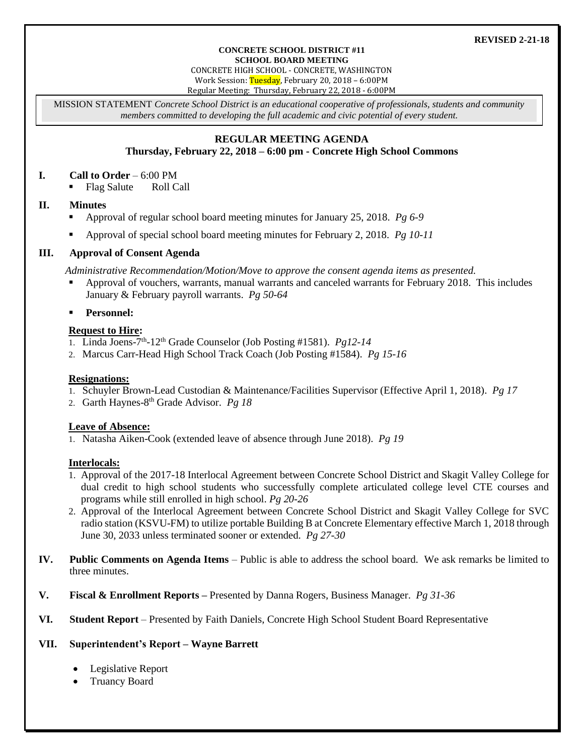#### **CONCRETE SCHOOL DISTRICT #11 SCHOOL BOARD MEETING**

CONCRETE HIGH SCHOOL - CONCRETE, WASHINGTON Work Session: Tuesday, February 20, 2018 - 6:00PM

Regular Meeting: Thursday, February 22, 2018 - 6:00PM

MISSION STATEMENT *Concrete School District is an educational cooperative of professionals, students and community members committed to developing the full academic and civic potential of every student.*

# **REGULAR MEETING AGENDA**

# **Thursday, February 22, 2018 – 6:00 pm - Concrete High School Commons**

### **I. Call to Order** – 6:00 PM

• Flag Salute Roll Call

### **II. Minutes**

- Approval of regular school board meeting minutes for January 25, 2018. *Pg 6-9*
- Approval of special school board meeting minutes for February 2, 2018. *Pg 10-11*

### **III. Approval of Consent Agenda**

*Administrative Recommendation/Motion/Move to approve the consent agenda items as presented.*

 Approval of vouchers, warrants, manual warrants and canceled warrants for February 2018. This includes January & February payroll warrants. *Pg 50-64*

### **Personnel:**

### **Request to Hire:**

- 1. Linda Joens-7<sup>th</sup>-12<sup>th</sup> Grade Counselor (Job Posting #1581). *Pg12-14*
- 2. Marcus Carr-Head High School Track Coach (Job Posting #1584). *Pg 15-16*

#### **Resignations:**

- 1. Schuyler Brown-Lead Custodian & Maintenance/Facilities Supervisor (Effective April 1, 2018). *Pg 17*
- 2. Garth Haynes-8 th Grade Advisor. *Pg 18*

# **Leave of Absence:**

1. Natasha Aiken-Cook (extended leave of absence through June 2018). *Pg 19*

#### **Interlocals:**

- 1. Approval of the 2017-18 Interlocal Agreement between Concrete School District and Skagit Valley College for dual credit to high school students who successfully complete articulated college level CTE courses and programs while still enrolled in high school. *Pg 20-26*
- 2. Approval of the Interlocal Agreement between Concrete School District and Skagit Valley College for SVC radio station (KSVU-FM) to utilize portable Building B at Concrete Elementary effective March 1, 2018 through June 30, 2033 unless terminated sooner or extended. *Pg 27-30*
- **IV. Public Comments on Agenda Items** Public is able to address the school board. We ask remarks be limited to three minutes.
- **V. Fiscal & Enrollment Reports –** Presented by Danna Rogers, Business Manager. *Pg 31-36*
- **VI. Student Report** Presented by Faith Daniels, Concrete High School Student Board Representative

# **VII. Superintendent's Report – Wayne Barrett**

- Legislative Report
- Truancy Board